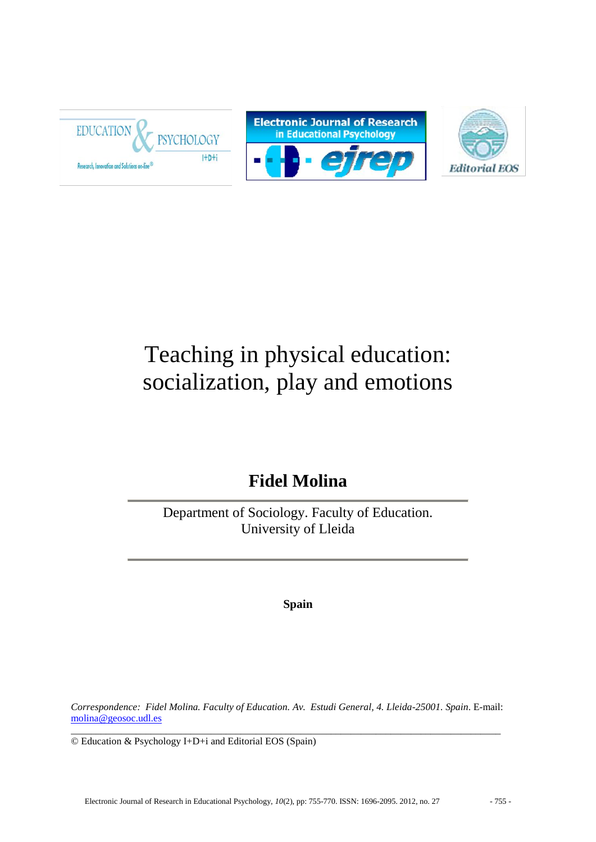





# Teaching in physical education: socialization, play and emotions

# **Fidel Molina**

Department of Sociology. Faculty of Education. University of Lleida

**Spain**

*Correspondence: Fidel Molina. Faculty of Education. Av. Estudi General, 4. Lleida-25001. Spain*. E-mail: [molina@geosoc.udl.es](mailto:%20molina@geosoc.udl.es) 

 $\_$  ,  $\_$  ,  $\_$  ,  $\_$  ,  $\_$  ,  $\_$  ,  $\_$  ,  $\_$  ,  $\_$  ,  $\_$  ,  $\_$  ,  $\_$  ,  $\_$  ,  $\_$  ,  $\_$  ,  $\_$  ,  $\_$  ,  $\_$  ,  $\_$  ,  $\_$  ,  $\_$  ,  $\_$  ,  $\_$  ,  $\_$  ,  $\_$  ,  $\_$  ,  $\_$  ,  $\_$  ,  $\_$  ,  $\_$  ,  $\_$  ,  $\_$  ,  $\_$  ,  $\_$  ,  $\_$  ,  $\_$  ,  $\_$  , © Education & Psychology I+D+i and Editorial EOS (Spain)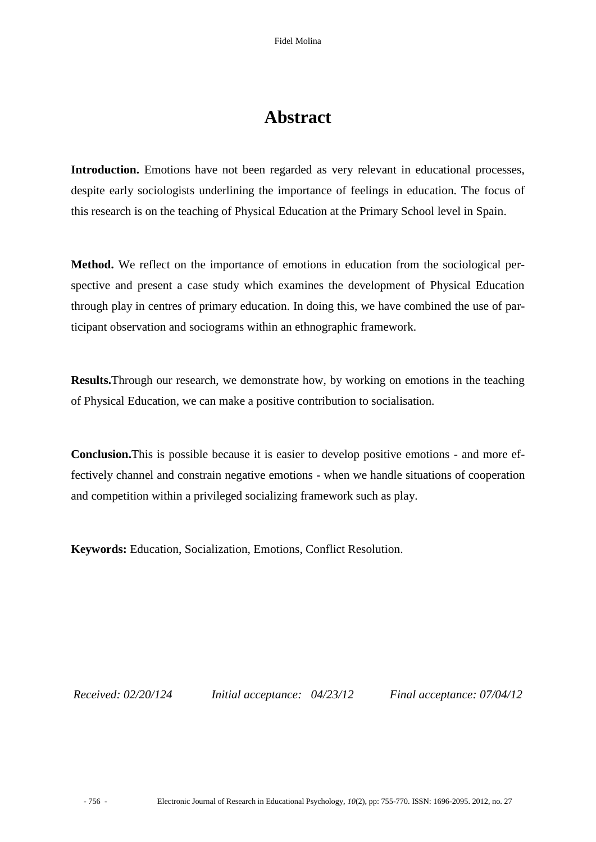## **Abstract**

**Introduction.** Emotions have not been regarded as very relevant in educational processes, despite early sociologists underlining the importance of feelings in education. The focus of this research is on the teaching of Physical Education at the Primary School level in Spain.

**Method.** We reflect on the importance of emotions in education from the sociological perspective and present a case study which examines the development of Physical Education through play in centres of primary education. In doing this, we have combined the use of participant observation and sociograms within an ethnographic framework.

**Results.**Through our research, we demonstrate how, by working on emotions in the teaching of Physical Education, we can make a positive contribution to socialisation.

**Conclusion.**This is possible because it is easier to develop positive emotions - and more effectively channel and constrain negative emotions - when we handle situations of cooperation and competition within a privileged socializing framework such as play.

**Keywords:** Education, Socialization, Emotions, Conflict Resolution.

*Received: 02/20/124 Initial acceptance: 04/23/12 Final acceptance: 07/04/12*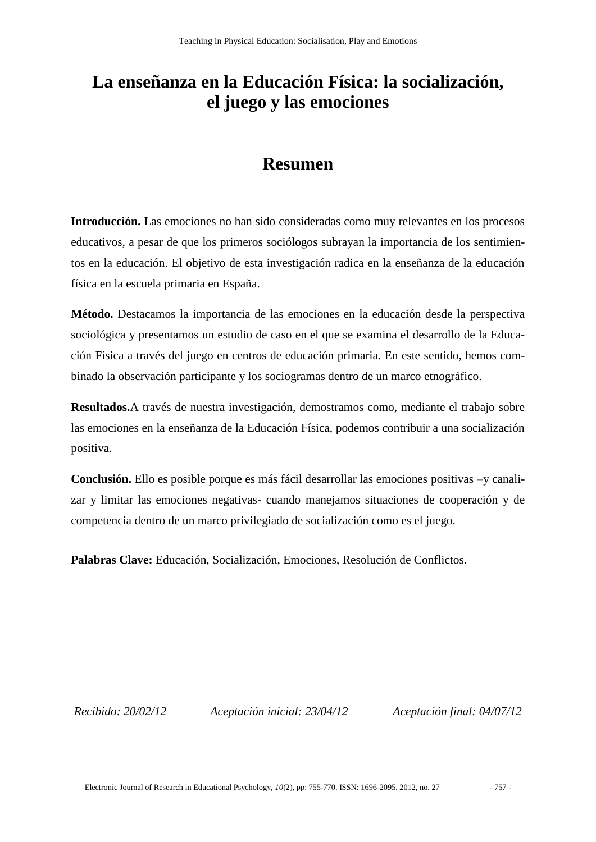# **La enseñanza en la Educación Física: la socialización, el juego y las emociones**

### **Resumen**

**Introducción.** Las emociones no han sido consideradas como muy relevantes en los procesos educativos, a pesar de que los primeros sociólogos subrayan la importancia de los sentimientos en la educación. El objetivo de esta investigación radica en la enseñanza de la educación física en la escuela primaria en España.

**Método.** Destacamos la importancia de las emociones en la educación desde la perspectiva sociológica y presentamos un estudio de caso en el que se examina el desarrollo de la Educación Física a través del juego en centros de educación primaria. En este sentido, hemos combinado la observación participante y los sociogramas dentro de un marco etnográfico.

**Resultados.**A través de nuestra investigación, demostramos como, mediante el trabajo sobre las emociones en la enseñanza de la Educación Física, podemos contribuir a una socialización positiva.

**Conclusión.** Ello es posible porque es más fácil desarrollar las emociones positivas –y canalizar y limitar las emociones negativas- cuando manejamos situaciones de cooperación y de competencia dentro de un marco privilegiado de socialización como es el juego.

**Palabras Clave:** Educación, Socialización, Emociones, Resolución de Conflictos.

*Recibido: 20/02/12 Aceptación inicial: 23/04/12 Aceptación final: 04/07/12*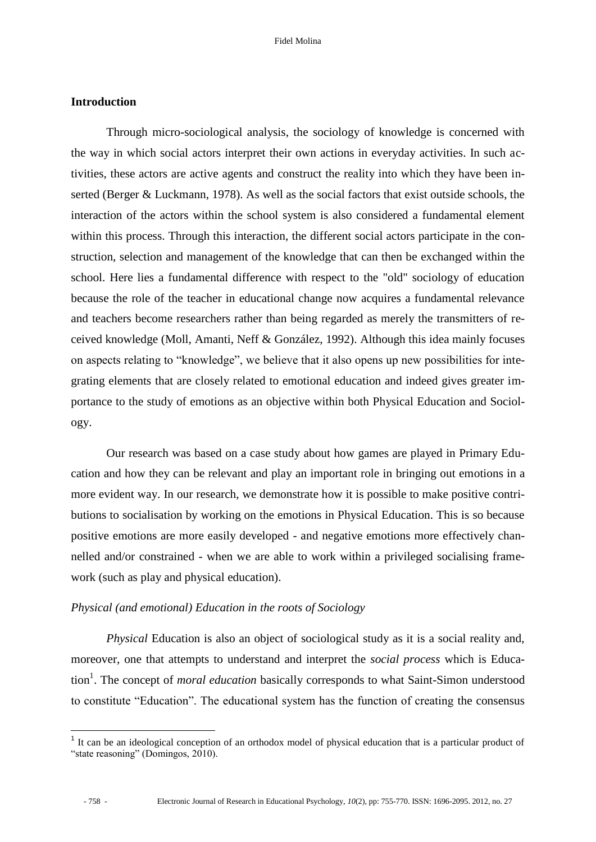### **Introduction**

Through micro-sociological analysis, the sociology of knowledge is concerned with the way in which social actors interpret their own actions in everyday activities. In such activities, these actors are active agents and construct the reality into which they have been inserted (Berger & Luckmann, 1978). As well as the social factors that exist outside schools, the interaction of the actors within the school system is also considered a fundamental element within this process. Through this interaction, the different social actors participate in the construction, selection and management of the knowledge that can then be exchanged within the school. Here lies a fundamental difference with respect to the "old" sociology of education because the role of the teacher in educational change now acquires a fundamental relevance and teachers become researchers rather than being regarded as merely the transmitters of received knowledge (Moll, Amanti, Neff & González, 1992). Although this idea mainly focuses on aspects relating to "knowledge", we believe that it also opens up new possibilities for integrating elements that are closely related to emotional education and indeed gives greater importance to the study of emotions as an objective within both Physical Education and Sociology.

Our research was based on a case study about how games are played in Primary Education and how they can be relevant and play an important role in bringing out emotions in a more evident way. In our research, we demonstrate how it is possible to make positive contributions to socialisation by working on the emotions in Physical Education. This is so because positive emotions are more easily developed - and negative emotions more effectively channelled and/or constrained - when we are able to work within a privileged socialising framework (such as play and physical education).

### *Physical (and emotional) Education in the roots of Sociology*

*Physical* Education is also an object of sociological study as it is a social reality and, moreover, one that attempts to understand and interpret the *social process* which is Education<sup>1</sup>. The concept of *moral education* basically corresponds to what Saint-Simon understood to constitute "Education". The educational system has the function of creating the consensus

 $\overline{a}$ 

<sup>&</sup>lt;sup>1</sup> It can be an ideological conception of an orthodox model of physical education that is a particular product of "state reasoning" (Domingos, 2010).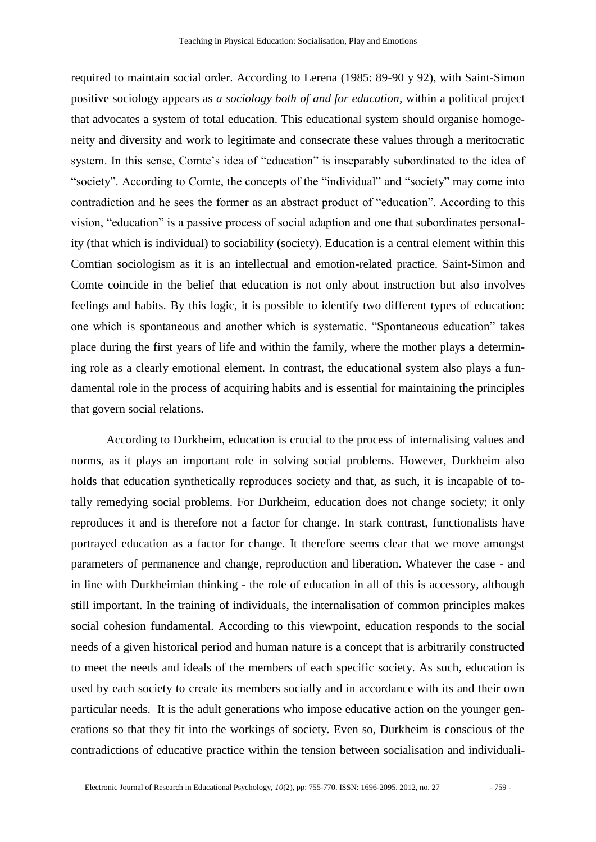required to maintain social order. According to Lerena (1985: 89-90 y 92), with Saint-Simon positive sociology appears as *a sociology both of and for education*, within a political project that advocates a system of total education. This educational system should organise homogeneity and diversity and work to legitimate and consecrate these values through a meritocratic system. In this sense, Comte's idea of "education" is inseparably subordinated to the idea of "society". According to Comte, the concepts of the "individual" and "society" may come into contradiction and he sees the former as an abstract product of "education". According to this vision, "education" is a passive process of social adaption and one that subordinates personality (that which is individual) to sociability (society). Education is a central element within this Comtian sociologism as it is an intellectual and emotion-related practice. Saint-Simon and Comte coincide in the belief that education is not only about instruction but also involves feelings and habits. By this logic, it is possible to identify two different types of education: one which is spontaneous and another which is systematic. "Spontaneous education" takes place during the first years of life and within the family, where the mother plays a determining role as a clearly emotional element. In contrast, the educational system also plays a fundamental role in the process of acquiring habits and is essential for maintaining the principles that govern social relations.

According to Durkheim, education is crucial to the process of internalising values and norms, as it plays an important role in solving social problems. However, Durkheim also holds that education synthetically reproduces society and that, as such, it is incapable of totally remedying social problems. For Durkheim, education does not change society; it only reproduces it and is therefore not a factor for change. In stark contrast, functionalists have portrayed education as a factor for change. It therefore seems clear that we move amongst parameters of permanence and change, reproduction and liberation. Whatever the case - and in line with Durkheimian thinking - the role of education in all of this is accessory, although still important. In the training of individuals, the internalisation of common principles makes social cohesion fundamental. According to this viewpoint, education responds to the social needs of a given historical period and human nature is a concept that is arbitrarily constructed to meet the needs and ideals of the members of each specific society. As such, education is used by each society to create its members socially and in accordance with its and their own particular needs. It is the adult generations who impose educative action on the younger generations so that they fit into the workings of society. Even so, Durkheim is conscious of the contradictions of educative practice within the tension between socialisation and individuali-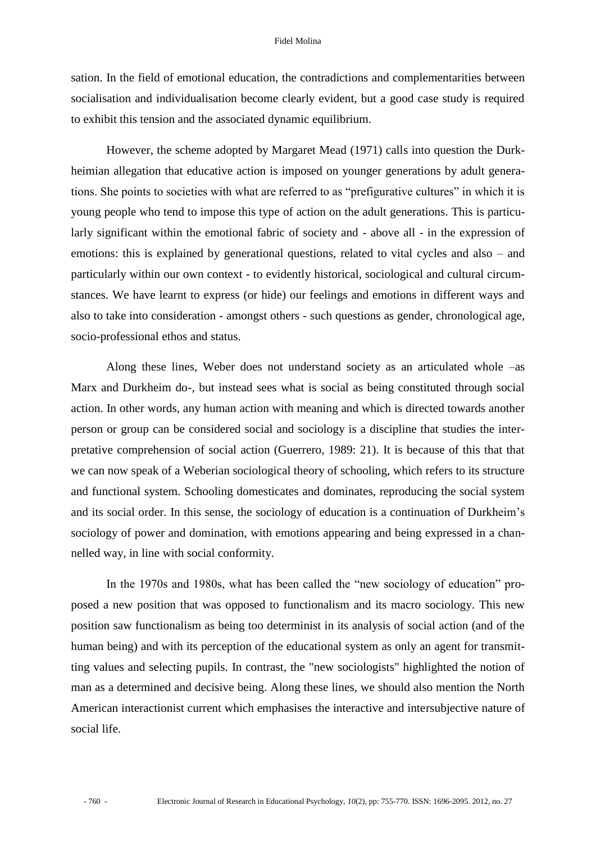sation. In the field of emotional education, the contradictions and complementarities between socialisation and individualisation become clearly evident, but a good case study is required to exhibit this tension and the associated dynamic equilibrium.

However, the scheme adopted by Margaret Mead (1971) calls into question the Durkheimian allegation that educative action is imposed on younger generations by adult generations. She points to societies with what are referred to as "prefigurative cultures" in which it is young people who tend to impose this type of action on the adult generations. This is particularly significant within the emotional fabric of society and - above all - in the expression of emotions: this is explained by generational questions, related to vital cycles and also – and particularly within our own context - to evidently historical, sociological and cultural circumstances. We have learnt to express (or hide) our feelings and emotions in different ways and also to take into consideration - amongst others - such questions as gender, chronological age, socio-professional ethos and status.

Along these lines, Weber does not understand society as an articulated whole –as Marx and Durkheim do-, but instead sees what is social as being constituted through social action. In other words, any human action with meaning and which is directed towards another person or group can be considered social and sociology is a discipline that studies the interpretative comprehension of social action (Guerrero, 1989: 21). It is because of this that that we can now speak of a Weberian sociological theory of schooling, which refers to its structure and functional system. Schooling domesticates and dominates, reproducing the social system and its social order. In this sense, the sociology of education is a continuation of Durkheim's sociology of power and domination, with emotions appearing and being expressed in a channelled way, in line with social conformity.

In the 1970s and 1980s, what has been called the "new sociology of education" proposed a new position that was opposed to functionalism and its macro sociology. This new position saw functionalism as being too determinist in its analysis of social action (and of the human being) and with its perception of the educational system as only an agent for transmitting values and selecting pupils. In contrast, the "new sociologists" highlighted the notion of man as a determined and decisive being. Along these lines, we should also mention the North American interactionist current which emphasises the interactive and intersubjective nature of social life.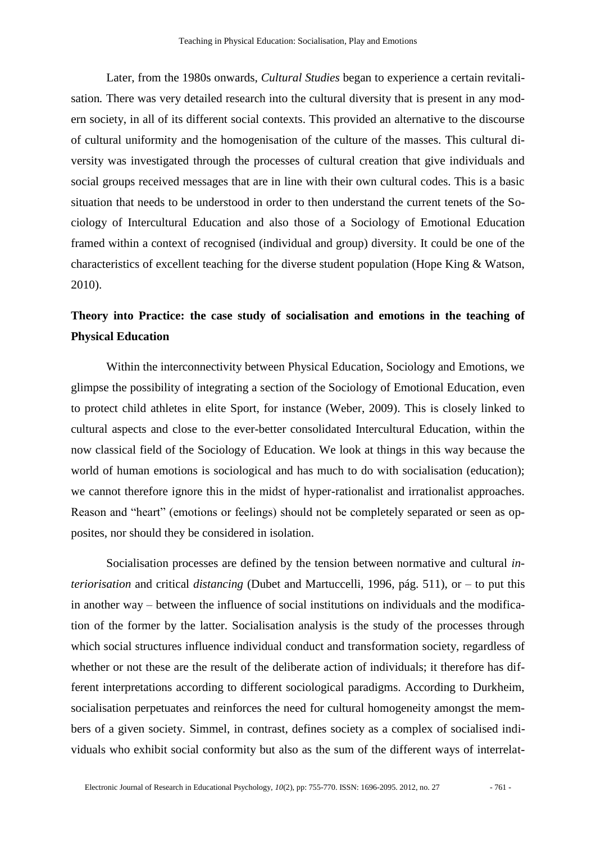Later, from the 1980s onwards, *Cultural Studies* began to experience a certain revitalisation*.* There was very detailed research into the cultural diversity that is present in any modern society, in all of its different social contexts. This provided an alternative to the discourse of cultural uniformity and the homogenisation of the culture of the masses. This cultural diversity was investigated through the processes of cultural creation that give individuals and social groups received messages that are in line with their own cultural codes. This is a basic situation that needs to be understood in order to then understand the current tenets of the Sociology of Intercultural Education and also those of a Sociology of Emotional Education framed within a context of recognised (individual and group) diversity. It could be one of the characteristics of excellent teaching for the diverse student population (Hope King & Watson, 2010).

### **Theory into Practice: the case study of socialisation and emotions in the teaching of Physical Education**

Within the interconnectivity between Physical Education, Sociology and Emotions, we glimpse the possibility of integrating a section of the Sociology of Emotional Education, even to protect child athletes in elite Sport, for instance (Weber, 2009). This is closely linked to cultural aspects and close to the ever-better consolidated Intercultural Education, within the now classical field of the Sociology of Education. We look at things in this way because the world of human emotions is sociological and has much to do with socialisation (education); we cannot therefore ignore this in the midst of hyper-rationalist and irrationalist approaches. Reason and "heart" (emotions or feelings) should not be completely separated or seen as opposites, nor should they be considered in isolation.

Socialisation processes are defined by the tension between normative and cultural *interiorisation* and critical *distancing* (Dubet and Martuccelli, 1996, pág. 511), or – to put this in another way – between the influence of social institutions on individuals and the modification of the former by the latter. Socialisation analysis is the study of the processes through which social structures influence individual conduct and transformation society, regardless of whether or not these are the result of the deliberate action of individuals; it therefore has different interpretations according to different sociological paradigms. According to Durkheim, socialisation perpetuates and reinforces the need for cultural homogeneity amongst the members of a given society. Simmel, in contrast, defines society as a complex of socialised individuals who exhibit social conformity but also as the sum of the different ways of interrelat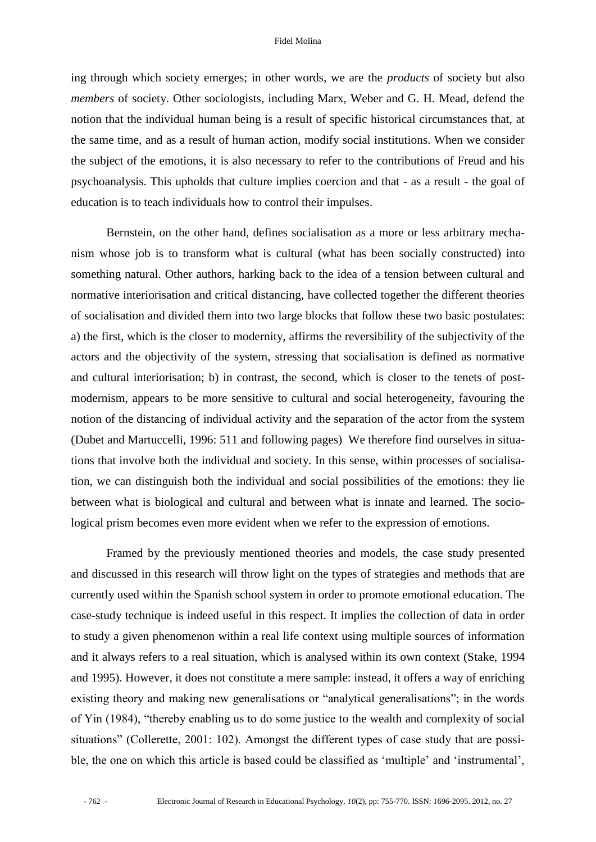ing through which society emerges; in other words, we are the *products* of society but also *members* of society. Other sociologists, including Marx, Weber and G. H. Mead, defend the notion that the individual human being is a result of specific historical circumstances that, at the same time, and as a result of human action, modify social institutions. When we consider the subject of the emotions, it is also necessary to refer to the contributions of Freud and his psychoanalysis. This upholds that culture implies coercion and that - as a result - the goal of education is to teach individuals how to control their impulses.

Bernstein, on the other hand, defines socialisation as a more or less arbitrary mechanism whose job is to transform what is cultural (what has been socially constructed) into something natural. Other authors, harking back to the idea of a tension between cultural and normative interiorisation and critical distancing, have collected together the different theories of socialisation and divided them into two large blocks that follow these two basic postulates: a) the first, which is the closer to modernity, affirms the reversibility of the subjectivity of the actors and the objectivity of the system, stressing that socialisation is defined as normative and cultural interiorisation; b) in contrast, the second, which is closer to the tenets of postmodernism, appears to be more sensitive to cultural and social heterogeneity, favouring the notion of the distancing of individual activity and the separation of the actor from the system (Dubet and Martuccelli, 1996: 511 and following pages) We therefore find ourselves in situations that involve both the individual and society. In this sense, within processes of socialisation, we can distinguish both the individual and social possibilities of the emotions: they lie between what is biological and cultural and between what is innate and learned. The sociological prism becomes even more evident when we refer to the expression of emotions.

Framed by the previously mentioned theories and models, the case study presented and discussed in this research will throw light on the types of strategies and methods that are currently used within the Spanish school system in order to promote emotional education. The case-study technique is indeed useful in this respect. It implies the collection of data in order to study a given phenomenon within a real life context using multiple sources of information and it always refers to a real situation, which is analysed within its own context (Stake, 1994 and 1995). However, it does not constitute a mere sample: instead, it offers a way of enriching existing theory and making new generalisations or "analytical generalisations"; in the words of Yin (1984), "thereby enabling us to do some justice to the wealth and complexity of social situations" (Collerette, 2001: 102). Amongst the different types of case study that are possible, the one on which this article is based could be classified as 'multiple' and 'instrumental',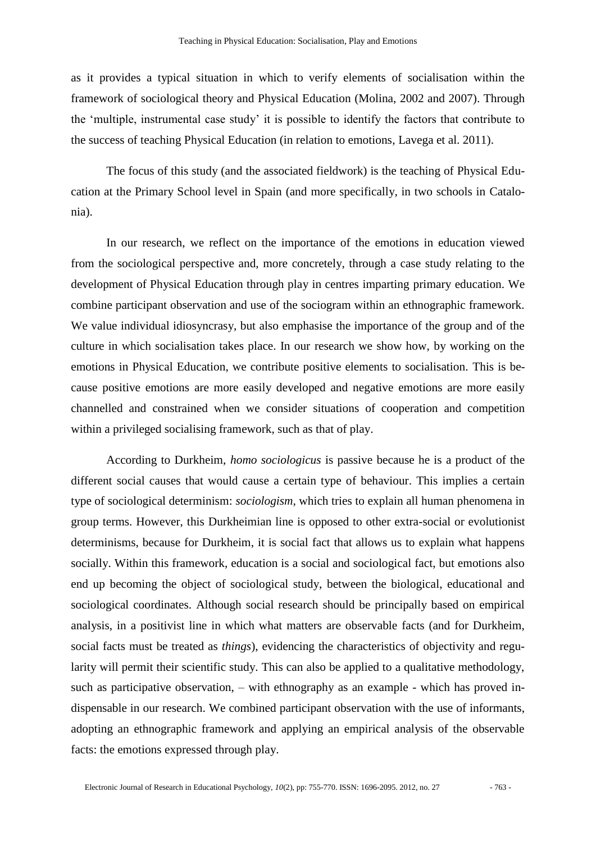as it provides a typical situation in which to verify elements of socialisation within the framework of sociological theory and Physical Education (Molina, 2002 and 2007). Through the 'multiple, instrumental case study' it is possible to identify the factors that contribute to the success of teaching Physical Education (in relation to emotions, Lavega et al. 2011).

The focus of this study (and the associated fieldwork) is the teaching of Physical Education at the Primary School level in Spain (and more specifically, in two schools in Catalonia).

In our research, we reflect on the importance of the emotions in education viewed from the sociological perspective and, more concretely, through a case study relating to the development of Physical Education through play in centres imparting primary education. We combine participant observation and use of the sociogram within an ethnographic framework. We value individual idiosyncrasy, but also emphasise the importance of the group and of the culture in which socialisation takes place. In our research we show how, by working on the emotions in Physical Education, we contribute positive elements to socialisation. This is because positive emotions are more easily developed and negative emotions are more easily channelled and constrained when we consider situations of cooperation and competition within a privileged socialising framework, such as that of play.

According to Durkheim, *homo sociologicus* is passive because he is a product of the different social causes that would cause a certain type of behaviour. This implies a certain type of sociological determinism: *sociologism,* which tries to explain all human phenomena in group terms. However, this Durkheimian line is opposed to other extra-social or evolutionist determinisms, because for Durkheim, it is social fact that allows us to explain what happens socially. Within this framework, education is a social and sociological fact, but emotions also end up becoming the object of sociological study, between the biological, educational and sociological coordinates. Although social research should be principally based on empirical analysis, in a positivist line in which what matters are observable facts (and for Durkheim, social facts must be treated as *things*), evidencing the characteristics of objectivity and regularity will permit their scientific study. This can also be applied to a qualitative methodology, such as participative observation, – with ethnography as an example - which has proved indispensable in our research. We combined participant observation with the use of informants, adopting an ethnographic framework and applying an empirical analysis of the observable facts: the emotions expressed through play.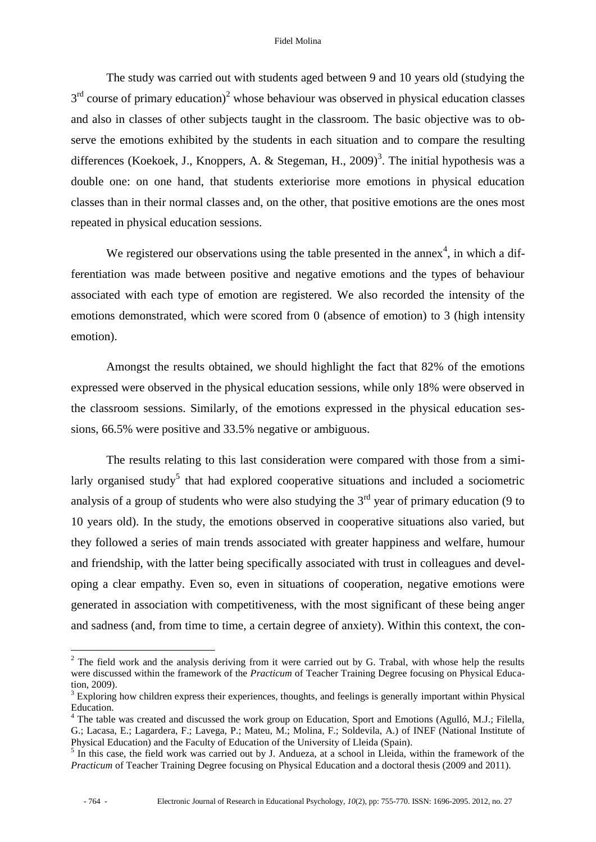The study was carried out with students aged between 9 and 10 years old (studying the  $3<sup>rd</sup>$  course of primary education)<sup>2</sup> whose behaviour was observed in physical education classes and also in classes of other subjects taught in the classroom. The basic objective was to observe the emotions exhibited by the students in each situation and to compare the resulting differences (Koekoek, J., Knoppers, A. & Stegeman, H.,  $2009)^3$ . The initial hypothesis was a double one: on one hand, that students exteriorise more emotions in physical education classes than in their normal classes and, on the other, that positive emotions are the ones most repeated in physical education sessions.

We registered our observations using the table presented in the annex<sup>4</sup>, in which a differentiation was made between positive and negative emotions and the types of behaviour associated with each type of emotion are registered. We also recorded the intensity of the emotions demonstrated, which were scored from 0 (absence of emotion) to 3 (high intensity emotion).

Amongst the results obtained, we should highlight the fact that 82% of the emotions expressed were observed in the physical education sessions, while only 18% were observed in the classroom sessions. Similarly, of the emotions expressed in the physical education sessions, 66.5% were positive and 33.5% negative or ambiguous.

The results relating to this last consideration were compared with those from a similarly organised study<sup>5</sup> that had explored cooperative situations and included a sociometric analysis of a group of students who were also studying the  $3<sup>rd</sup>$  year of primary education (9 to 10 years old). In the study, the emotions observed in cooperative situations also varied, but they followed a series of main trends associated with greater happiness and welfare, humour and friendship, with the latter being specifically associated with trust in colleagues and developing a clear empathy. Even so, even in situations of cooperation, negative emotions were generated in association with competitiveness, with the most significant of these being anger and sadness (and, from time to time, a certain degree of anxiety). Within this context, the con-

 $\overline{a}$ 

 $2$  The field work and the analysis deriving from it were carried out by G. Trabal, with whose help the results were discussed within the framework of the *Practicum* of Teacher Training Degree focusing on Physical Education, 2009).

 $3$  Exploring how children express their experiences, thoughts, and feelings is generally important within Physical Education.

 $4$  The table was created and discussed the work group on Education, Sport and Emotions (Agulló, M.J.; Filella, G.; Lacasa, E.; Lagardera, F.; Lavega, P.; Mateu, M.; Molina, F.; Soldevila, A.) of INEF (National Institute of Physical Education) and the Faculty of Education of the University of Lleida (Spain).

<sup>&</sup>lt;sup>5</sup> In this case, the field work was carried out by J. Andueza, at a school in Lleida, within the framework of the *Practicum* of Teacher Training Degree focusing on Physical Education and a doctoral thesis (2009 and 2011).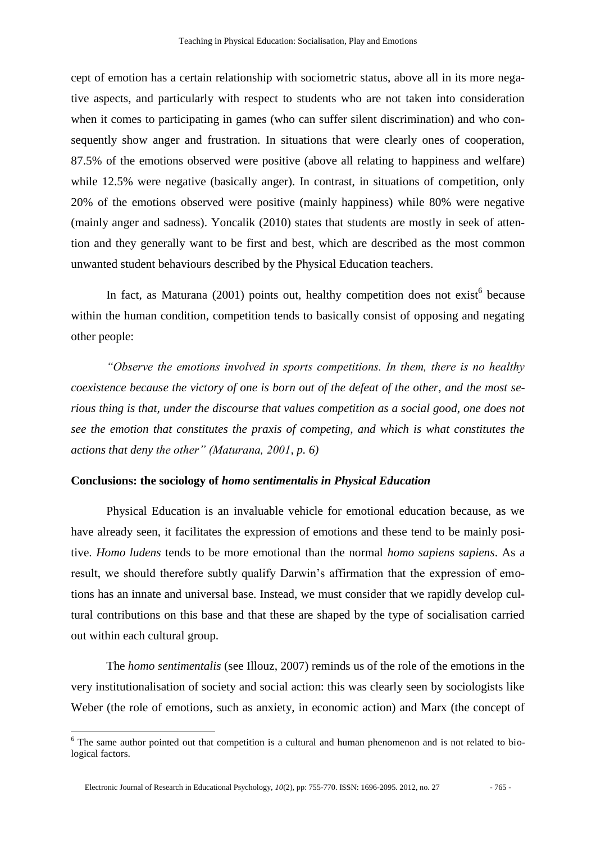cept of emotion has a certain relationship with sociometric status, above all in its more negative aspects, and particularly with respect to students who are not taken into consideration when it comes to participating in games (who can suffer silent discrimination) and who consequently show anger and frustration. In situations that were clearly ones of cooperation, 87.5% of the emotions observed were positive (above all relating to happiness and welfare) while 12.5% were negative (basically anger). In contrast, in situations of competition, only 20% of the emotions observed were positive (mainly happiness) while 80% were negative (mainly anger and sadness). Yoncalik (2010) states that students are mostly in seek of attention and they generally want to be first and best, which are described as the most common unwanted student behaviours described by the Physical Education teachers.

In fact, as Maturana  $(2001)$  points out, healthy competition does not exist<sup>6</sup> because within the human condition, competition tends to basically consist of opposing and negating other people:

*"Observe the emotions involved in sports competitions. In them, there is no healthy coexistence because the victory of one is born out of the defeat of the other, and the most serious thing is that, under the discourse that values competition as a social good, one does not see the emotion that constitutes the praxis of competing, and which is what constitutes the actions that deny the other" (Maturana, 2001, p. 6)*

### **Conclusions: the sociology of** *homo sentimentalis in Physical Education*

Physical Education is an invaluable vehicle for emotional education because, as we have already seen, it facilitates the expression of emotions and these tend to be mainly positive. *Homo ludens* tends to be more emotional than the normal *homo sapiens sapiens*. As a result, we should therefore subtly qualify Darwin's affirmation that the expression of emotions has an innate and universal base. Instead, we must consider that we rapidly develop cultural contributions on this base and that these are shaped by the type of socialisation carried out within each cultural group.

The *homo sentimentalis* (see Illouz, 2007) reminds us of the role of the emotions in the very institutionalisation of society and social action: this was clearly seen by sociologists like Weber (the role of emotions, such as anxiety, in economic action) and Marx (the concept of

 $\overline{a}$ 

<sup>&</sup>lt;sup>6</sup> The same author pointed out that competition is a cultural and human phenomenon and is not related to biological factors.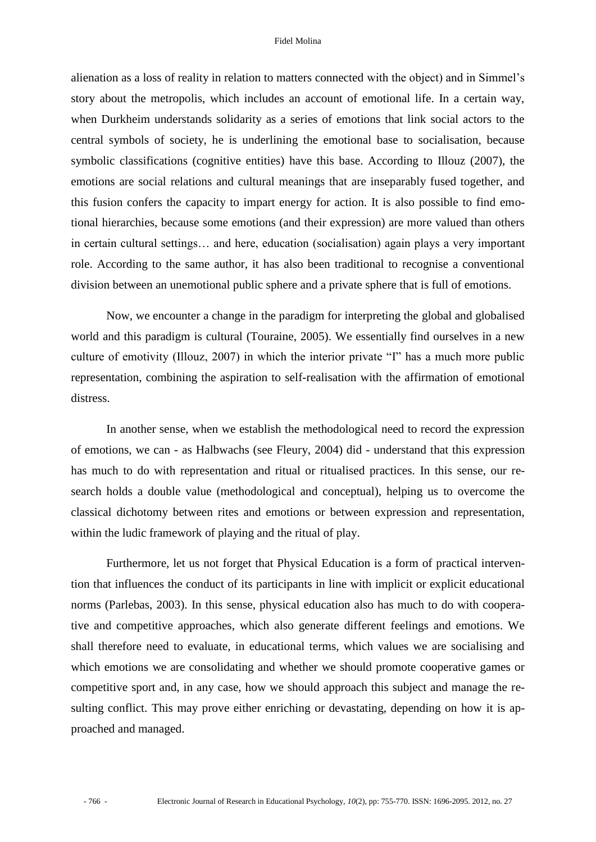alienation as a loss of reality in relation to matters connected with the object) and in Simmel's story about the metropolis, which includes an account of emotional life. In a certain way, when Durkheim understands solidarity as a series of emotions that link social actors to the central symbols of society, he is underlining the emotional base to socialisation, because symbolic classifications (cognitive entities) have this base. According to Illouz (2007), the emotions are social relations and cultural meanings that are inseparably fused together, and this fusion confers the capacity to impart energy for action. It is also possible to find emotional hierarchies, because some emotions (and their expression) are more valued than others in certain cultural settings… and here, education (socialisation) again plays a very important role. According to the same author, it has also been traditional to recognise a conventional division between an unemotional public sphere and a private sphere that is full of emotions.

Now, we encounter a change in the paradigm for interpreting the global and globalised world and this paradigm is cultural (Touraine, 2005). We essentially find ourselves in a new culture of emotivity (Illouz, 2007) in which the interior private "I" has a much more public representation, combining the aspiration to self-realisation with the affirmation of emotional distress.

In another sense, when we establish the methodological need to record the expression of emotions, we can - as Halbwachs (see Fleury, 2004) did - understand that this expression has much to do with representation and ritual or ritualised practices. In this sense, our research holds a double value (methodological and conceptual), helping us to overcome the classical dichotomy between rites and emotions or between expression and representation, within the ludic framework of playing and the ritual of play.

Furthermore, let us not forget that Physical Education is a form of practical intervention that influences the conduct of its participants in line with implicit or explicit educational norms (Parlebas, 2003). In this sense, physical education also has much to do with cooperative and competitive approaches, which also generate different feelings and emotions. We shall therefore need to evaluate, in educational terms, which values we are socialising and which emotions we are consolidating and whether we should promote cooperative games or competitive sport and, in any case, how we should approach this subject and manage the resulting conflict. This may prove either enriching or devastating, depending on how it is approached and managed.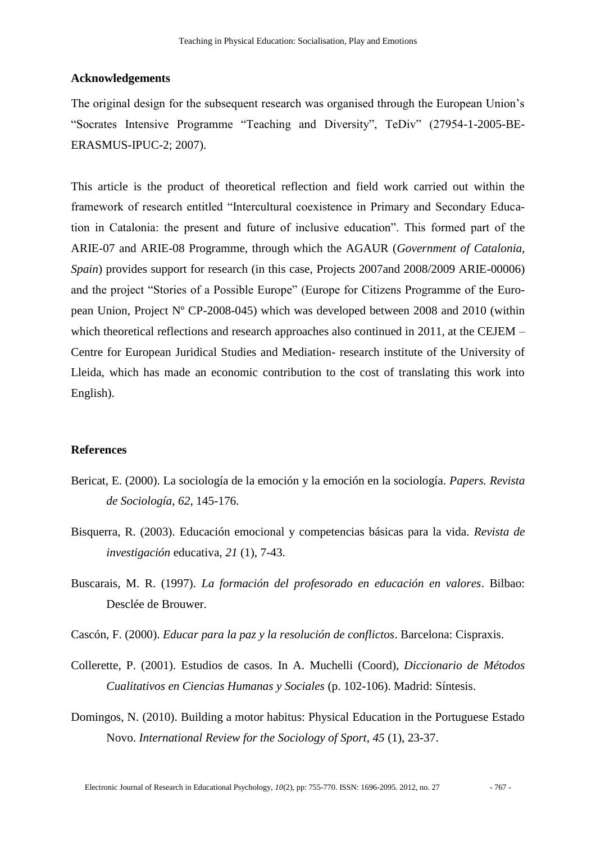### **Acknowledgements**

The original design for the subsequent research was organised through the European Union's "Socrates Intensive Programme "Teaching and Diversity", TeDiv" (27954-1-2005-BE-ERASMUS-IPUC-2; 2007).

This article is the product of theoretical reflection and field work carried out within the framework of research entitled "Intercultural coexistence in Primary and Secondary Education in Catalonia: the present and future of inclusive education". This formed part of the ARIE-07 and ARIE-08 Programme, through which the AGAUR (*Government of Catalonia, Spain*) provides support for research (in this case, Projects 2007and 2008/2009 ARIE-00006) and the project "Stories of a Possible Europe" (Europe for Citizens Programme of the European Union, Project Nº CP-2008-045) which was developed between 2008 and 2010 (within which theoretical reflections and research approaches also continued in 2011, at the CEJEM – Centre for European Juridical Studies and Mediation- research institute of the University of Lleida, which has made an economic contribution to the cost of translating this work into English).

### **References**

- Bericat, E. (2000). La sociología de la emoción y la emoción en la sociología. *Papers. Revista de Sociología*, *62*, 145-176.
- Bisquerra, R. (2003). Educación emocional y competencias básicas para la vida. *Revista de investigación* educativa, *21* (1), 7-43.
- Buscarais, M. R. (1997). *La formación del profesorado en educación en valores*. Bilbao: Desclée de Brouwer.
- Cascón, F. (2000). *Educar para la paz y la resolución de conflictos*. Barcelona: Cispraxis.
- Collerette, P. (2001). Estudios de casos. In A. Muchelli (Coord), *Diccionario de Métodos Cualitativos en Ciencias Humanas y Sociales* (p. 102-106). Madrid: Síntesis.
- Domingos, N. (2010). Building a motor habitus: Physical Education in the Portuguese Estado Novo. *International Review for the Sociology of Sport*, *45* (1), 23-37.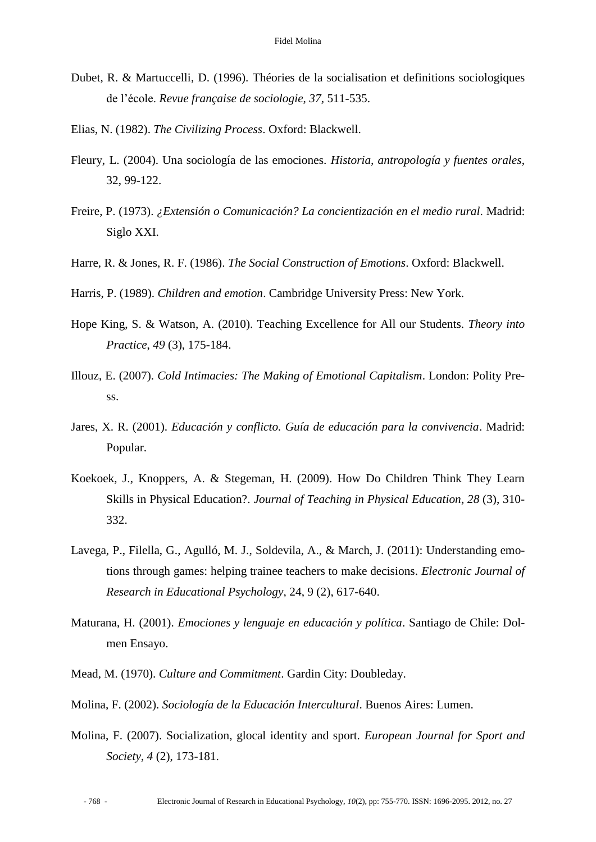- Dubet, R. & Martuccelli, D. (1996). Théories de la socialisation et definitions sociologiques de l'école. *Revue française de sociologie*, *37,* 511-535.
- Elias, N. (1982). *The Civilizing Process*. Oxford: Blackwell.
- Fleury, L. (2004). Una sociología de las emociones. *Historia, antropología y fuentes orales*, 32, 99-122.
- Freire, P. (1973). *¿Extensión o Comunicación? La concientización en el medio rural*. Madrid: Siglo XXI.
- Harre, R. & Jones, R. F. (1986). *The Social Construction of Emotions*. Oxford: Blackwell.
- Harris, P. (1989). *Children and emotion*. Cambridge University Press: New York.
- Hope King, S. & Watson, A. (2010). Teaching Excellence for All our Students. *Theory into Practice*, *49* (3), 175-184.
- Illouz, E. (2007). *Cold Intimacies: The Making of Emotional Capitalism*. London: Polity Press.
- Jares, X. R. (2001). *Educación y conflicto. Guía de educación para la convivencia*. Madrid: Popular.
- Koekoek, J., Knoppers, A. & Stegeman, H. (2009). How Do Children Think They Learn Skills in Physical Education?. *Journal of Teaching in Physical Education*, *28* (3), 310- 332.
- Lavega, P., Filella, G., Agulló, M. J., Soldevila, A., & March, J. (2011): Understanding emotions through games: helping trainee teachers to make decisions. *Electronic Journal of Research in Educational Psychology*, 24, 9 (2), 617-640.
- Maturana, H. (2001). *Emociones y lenguaje en educación y política*. Santiago de Chile: Dolmen Ensayo.
- Mead, M. (1970). *Culture and Commitment*. Gardin City: Doubleday.
- Molina, F. (2002). *Sociología de la Educación Intercultural*. Buenos Aires: Lumen.
- Molina, F. (2007). Socialization, glocal identity and sport. *European Journal for Sport and Society*, *4* (2), 173-181.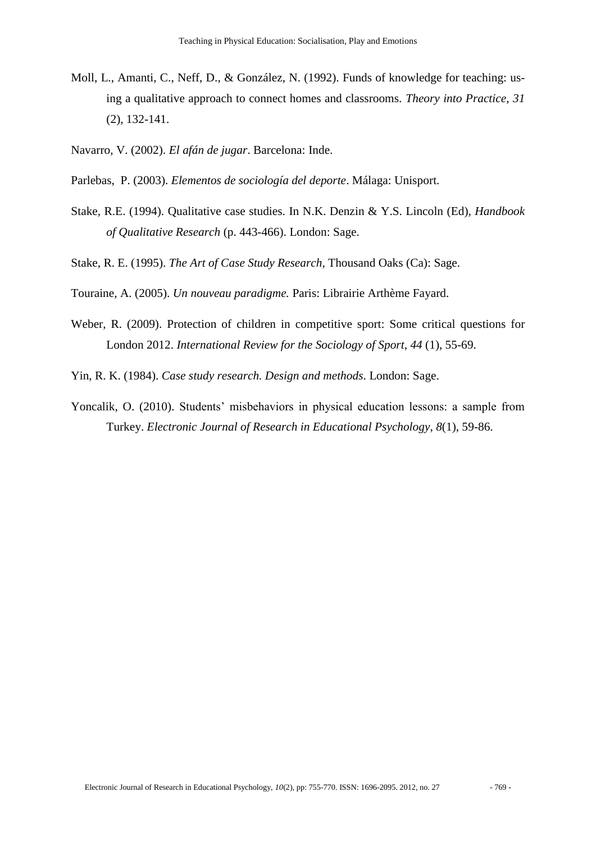- Moll, L., Amanti, C., Neff, D., & González, N. (1992). Funds of knowledge for teaching: using a qualitative approach to connect homes and classrooms. *Theory into Practice*, *31* (2), 132-141.
- Navarro, V. (2002). *El afán de jugar*. Barcelona: Inde.
- Parlebas, P. (2003). *Elementos de sociología del deporte*. Málaga: Unisport.
- Stake, R.E. (1994). Qualitative case studies. In N.K. Denzin & Y.S. Lincoln (Ed), *Handbook of Qualitative Research* (p. 443-466). London: Sage.
- Stake, R. E. (1995). *The Art of Case Study Research*, Thousand Oaks (Ca): Sage.
- Touraine, A. (2005). *Un nouveau paradigme.* Paris: Librairie Arthème Fayard.
- Weber, R. (2009). Protection of children in competitive sport: Some critical questions for London 2012. *International Review for the Sociology of Sport*, *44* (1), 55-69.

Yin, R. K. (1984). *Case study research. Design and methods*. London: Sage.

Yoncalik, O. (2010). Students' misbehaviors in physical education lessons: a sample from Turkey. *Electronic Journal of Research in Educational Psychology*, *8*(1), 59-86.